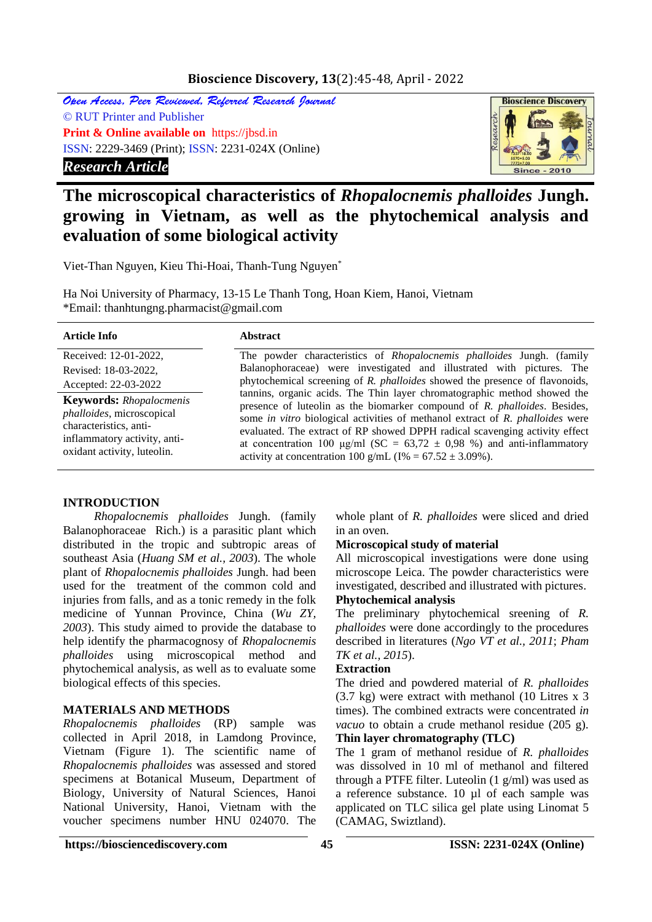## **Bioscience Discovery, 13**(2):45-48, April - 2022

Open Access, Peer Reviewed, Referred Research Journal © RUT Printer and Publisher **Print & Online available on** https://jbsd.in ISSN: 2229-3469 (Print); ISSN: 2231-024X (Online) *Research Article*



# **The microscopical characteristics of** *Rhopalocnemis phalloides* **Jungh. growing in Vietnam, as well as the phytochemical analysis and evaluation of some biological activity**

Viet-Than Nguyen, Kieu Thi-Hoai, Thanh-Tung Nguyen\*

Ha Noi University of Pharmacy, 13-15 Le Thanh Tong, Hoan Kiem, Hanoi, Vietnam \*Email: thanhtungng.pharmacist@gmail.com

| <b>Article Info</b>                                                                                                                                  | <b>Abstract</b>                                                                                                                                                                                                                                                                                                                                                                                                                                                                       |  |  |  |
|------------------------------------------------------------------------------------------------------------------------------------------------------|---------------------------------------------------------------------------------------------------------------------------------------------------------------------------------------------------------------------------------------------------------------------------------------------------------------------------------------------------------------------------------------------------------------------------------------------------------------------------------------|--|--|--|
| Received: 12-01-2022,                                                                                                                                | The powder characteristics of <i>Rhopalocnemis phalloides</i> Jungh. (family                                                                                                                                                                                                                                                                                                                                                                                                          |  |  |  |
| Revised: 18-03-2022,                                                                                                                                 | Balanophoraceae) were investigated and illustrated with pictures. The                                                                                                                                                                                                                                                                                                                                                                                                                 |  |  |  |
| Accepted: 22-03-2022                                                                                                                                 | phytochemical screening of R. phalloides showed the presence of flavonoids,                                                                                                                                                                                                                                                                                                                                                                                                           |  |  |  |
| <b>Keywords:</b> Rhopalocmenis<br>phalloides, microscopical<br>characteristics, anti-<br>inflammatory activity, anti-<br>oxidant activity, luteolin. | tannins, organic acids. The Thin layer chromatographic method showed the<br>presence of luteolin as the biomarker compound of R. phalloides. Besides,<br>some <i>in vitro</i> biological activities of methanol extract of <i>R. phalloides</i> were<br>evaluated. The extract of RP showed DPPH radical scavenging activity effect<br>at concentration 100 µg/ml (SC = $63,72 \pm 0,98$ %) and anti-inflammatory<br>activity at concentration 100 g/mL ( $I\% = 67.52 \pm 3.09\%$ ). |  |  |  |

#### **INTRODUCTION**

*Rhopalocnemis phalloides* Jungh. (family Balanophoraceae Rich.) is a parasitic plant which distributed in the tropic and subtropic areas of southeast Asia (*Huang SM et al., 2003*). The whole plant of *Rhopalocnemis phalloides* Jungh. had been used for the treatment of the common cold and injuries from falls, and as a tonic remedy in the folk medicine of Yunnan Province, China (*Wu ZY, 2003*). This study aimed to provide the database to help identify the pharmacognosy of *Rhopalocnemis phalloides* using microscopical method and phytochemical analysis, as well as to evaluate some biological effects of this species.

## **MATERIALS AND METHODS**

*Rhopalocnemis phalloides* (RP) sample was collected in April 2018, in Lamdong Province, Vietnam (Figure 1). The scientific name of *Rhopalocnemis phalloides* was assessed and stored specimens at Botanical Museum, Department of Biology, University of Natural Sciences, Hanoi National University, Hanoi, Vietnam with the voucher specimens number HNU 024070. The

whole plant of *R. phalloides* were sliced and dried in an oven.

#### **Microscopical study of material**

All microscopical investigations were done using microscope Leica. The powder characteristics were investigated, described and illustrated with pictures.

## **Phytochemical analysis**

The preliminary phytochemical sreening of *R. phalloides* were done accordingly to the procedures described in literatures (*Ngo VT et al., 2011*; *Pham TK et al., 2015*).

#### **Extraction**

The dried and powdered material of *R. phalloides* (3.7 kg) were extract with methanol (10 Litres x 3 times). The combined extracts were concentrated *in vacuo* to obtain a crude methanol residue (205 g). **Thin layer chromatography (TLC)**

The 1 gram of methanol residue of *R. phalloides* was dissolved in 10 ml of methanol and filtered through a PTFE filter. Luteolin (1 g/ml) was used as a reference substance. 10 µl of each sample was applicated on TLC silica gel plate using Linomat 5 (CAMAG, Swiztland).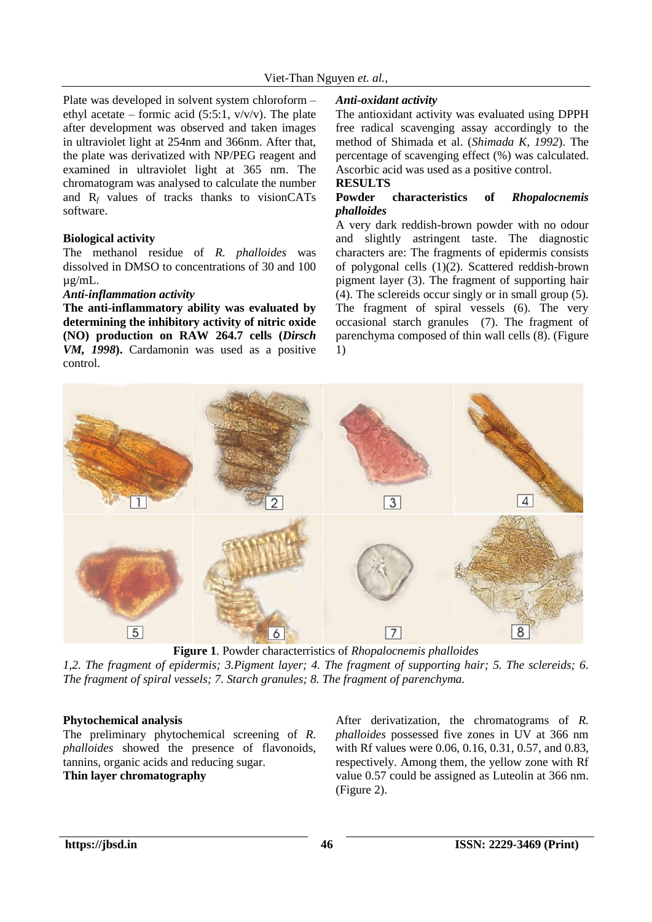Plate was developed in solvent system chloroform – ethyl acetate – formic acid (5:5:1,  $v/v/v$ ). The plate after development was observed and taken images in ultraviolet light at 254nm and 366nm. After that, the plate was derivatized with NP/PEG reagent and examined in ultraviolet light at 365 nm. The chromatogram was analysed to calculate the number and  $R_f$  values of tracks thanks to visionCATs software.

#### **Biological activity**

The methanol residue of *R. phalloides* was dissolved in DMSO to concentrations of 30 and 100 µg/mL.

#### *Anti-inflammation activity*

**The anti-inflammatory ability was evaluated by determining the inhibitory activity of nitric oxide (NO) production on RAW 264.7 cells (***Dirsch VM, 1998***).** Cardamonin was used as a positive control.

#### *Anti-oxidant activity*

The antioxidant activity was evaluated using DPPH free radical scavenging assay accordingly to the method of Shimada et al. (*Shimada K, 1992*). The percentage of scavenging effect (%) was calculated. Ascorbic acid was used as a positive control.

#### **RESULTS**

#### **Powder characteristics of** *Rhopalocnemis phalloides*

A very dark reddish-brown powder with no odour and slightly astringent taste. The diagnostic characters are: The fragments of epidermis consists of polygonal cells (1)(2). Scattered reddish-brown pigment layer (3). The fragment of supporting hair (4). The sclereids occur singly or in small group (5). The fragment of spiral vessels (6). The very occasional starch granules (7). The fragment of parenchyma composed of thin wall cells (8). (Figure 1)



**Figure 1**. Powder characterristics of *Rhopalocnemis phalloides 1,2. The fragment of epidermis; 3.Pigment layer; 4. The fragment of supporting hair; 5. The sclereids; 6. The fragment of spiral vessels; 7. Starch granules; 8. The fragment of parenchyma.*

#### **Phytochemical analysis**

The preliminary phytochemical screening of *R. phalloides* showed the presence of flavonoids, tannins, organic acids and reducing sugar. **Thin layer chromatography**

After derivatization, the chromatograms of *R. phalloides* possessed five zones in UV at 366 nm with Rf values were 0.06, 0.16, 0.31, 0.57, and 0.83, respectively. Among them, the yellow zone with Rf value 0.57 could be assigned as Luteolin at 366 nm. (Figure 2).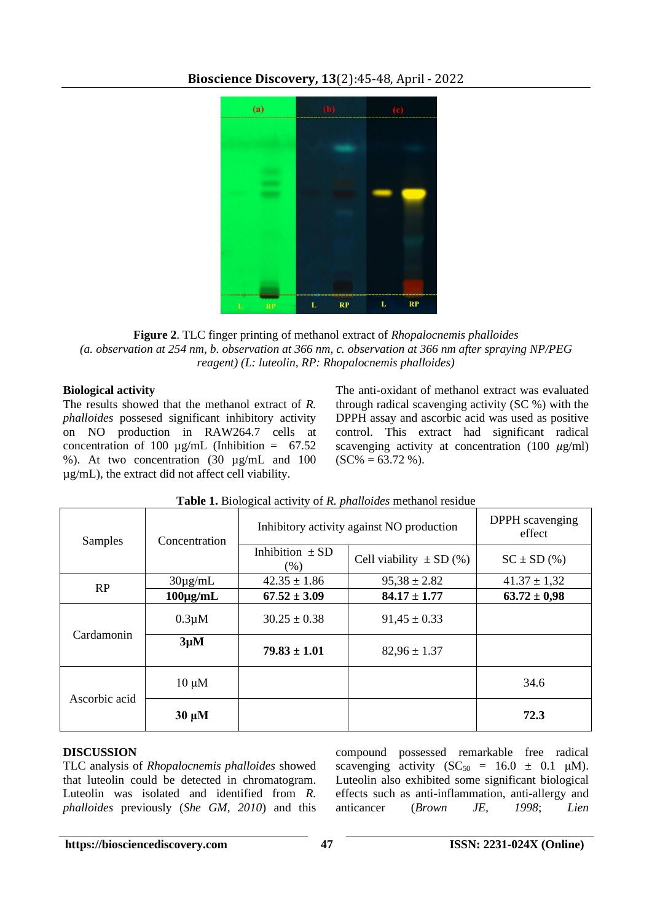

## **Bioscience Discovery, 13**(2):45-48, April - 2022

**Figure 2**. TLC finger printing of methanol extract of *Rhopalocnemis phalloides (a. observation at 254 nm, b. observation at 366 nm, c. observation at 366 nm after spraying NP/PEG reagent) (L: luteolin, RP: Rhopalocnemis phalloides)*

## **Biological activity**

The results showed that the methanol extract of *R. phalloides* possesed significant inhibitory activity on NO production in RAW264.7 cells at concentration of 100  $\mu$ g/mL (Inhibition = 67.52) %). At two concentration (30 µg/mL and 100 µg/mL), the extract did not affect cell viability.

The anti-oxidant of methanol extract was evaluated through radical scavenging activity (SC %) with the DPPH assay and ascorbic acid was used as positive control. This extract had significant radical scavenging activity at concentration (100  $\mu$ g/ml)  $(SC\% = 63.72\%)$ .

| Samples       | Concentration | Inhibitory activity against NO production |                             | <b>DPPH</b> scavenging<br>effect |
|---------------|---------------|-------------------------------------------|-----------------------------|----------------------------------|
|               |               | Inhibition $\pm$ SD<br>(% )               | Cell viability $\pm$ SD (%) | $SC \pm SD$ (%)                  |
| RP            | $30\mu$ g/mL  | $42.35 \pm 1.86$                          | $95,38 \pm 2.82$            | $41.37 \pm 1.32$                 |
|               | $100\mu g/mL$ | $67.52 \pm 3.09$                          | $84.17 \pm 1.77$            | $63.72 \pm 0.98$                 |
| Cardamonin    | $0.3 \mu M$   | $30.25 \pm 0.38$                          | $91,45 \pm 0.33$            |                                  |
|               | $3\mu M$      | $79.83 \pm 1.01$                          | $82,96 \pm 1.37$            |                                  |
| Ascorbic acid | $10 \mu M$    |                                           |                             | 34.6                             |
|               | $30 \mu M$    |                                           |                             | 72.3                             |

## **Table 1.** Biological activity of *R. phalloides* methanol residue

## **DISCUSSION**

TLC analysis of *Rhopalocnemis phalloides* showed that luteolin could be detected in chromatogram. Luteolin was isolated and identified from *R. phalloides* previously (*She GM, 2010*) and this compound possessed remarkable free radical scavenging activity ( $SC_{50} = 16.0 \pm 0.1 \mu M$ ). Luteolin also exhibited some significant biological effects such as anti-inflammation, anti-allergy and anticancer (*Brown JE, 1998*; *Lien*